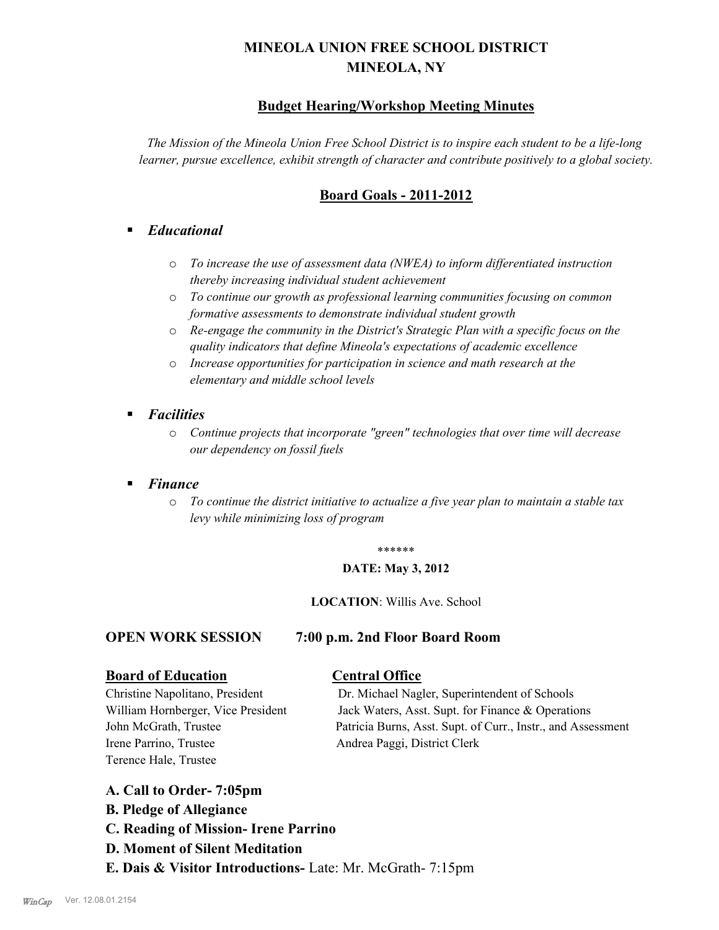# **MINEOLA UNION FREE SCHOOL DISTRICT MINEOLA, NY**

## **Budget Hearing/Workshop Meeting Minutes**

*The Mission of the Mineola Union Free School District is to inspire each student to be a life-long learner, pursue excellence, exhibit strength of character and contribute positively to a global society.*

## **Board Goals - 2011-2012**

## § *Educational*

- o *To increase the use of assessment data (NWEA) to inform differentiated instruction thereby increasing individual student achievement*
- o *To continue our growth as professional learning communities focusing on common formative assessments to demonstrate individual student growth*
- o *Re-engage the community in the District's Strategic Plan with a specific focus on the quality indicators that define Mineola's expectations of academic excellence*
- o *Increase opportunities for participation in science and math research at the elementary and middle school levels*
- *Facilities* 
	- o *Continue projects that incorporate "green" technologies that over time will decrease our dependency on fossil fuels*
- § *Finance*
	- o *To continue the district initiative to actualize a five year plan to maintain a stable tax levy while minimizing loss of program*

#### \*\*\*\*\*\*

### **DATE: May 3, 2012**

### **LOCATION**: Willis Ave. School

### **OPEN WORK SESSION 7:00 p.m. 2nd Floor Board Room**

## **Board of Education Central Office**

Irene Parrino, Trustee Andrea Paggi, District Clerk Terence Hale, Trustee

Christine Napolitano, President Dr. Michael Nagler, Superintendent of Schools William Hornberger, Vice President Jack Waters, Asst. Supt. for Finance & Operations John McGrath, Trustee Patricia Burns, Asst. Supt. of Curr., Instr., and Assessment

## **A. Call to Order- 7:05pm**

- **B. Pledge of Allegiance**
- **C. Reading of Mission- Irene Parrino**
- **D. Moment of Silent Meditation**
- **E. Dais & Visitor Introductions-** Late: Mr. McGrath- 7:15pm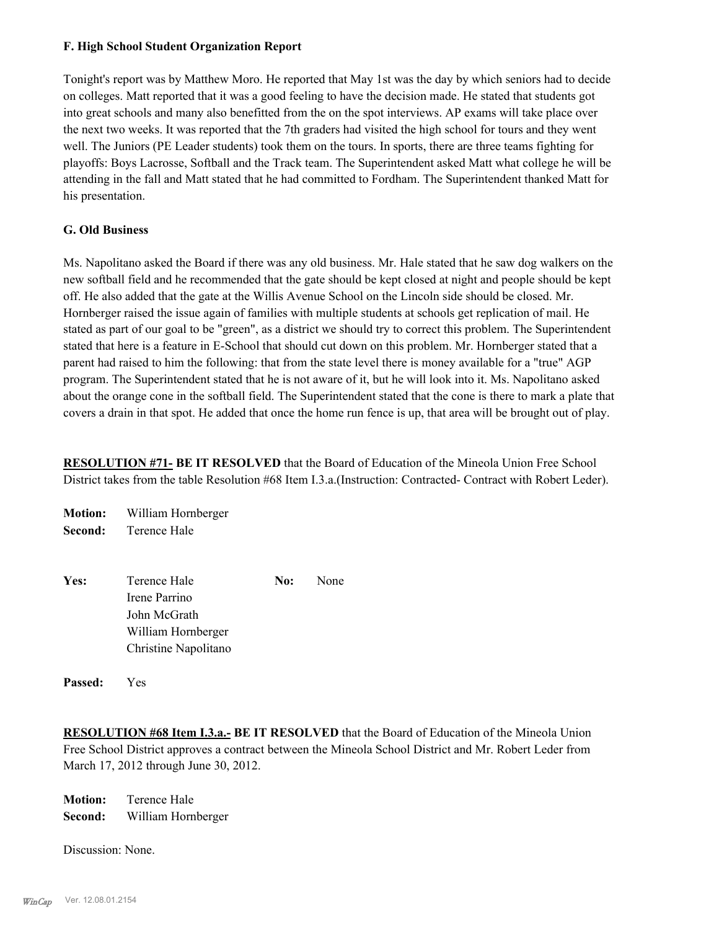### **F. High School Student Organization Report**

Tonight's report was by Matthew Moro. He reported that May 1st was the day by which seniors had to decide on colleges. Matt reported that it was a good feeling to have the decision made. He stated that students got into great schools and many also benefitted from the on the spot interviews. AP exams will take place over the next two weeks. It was reported that the 7th graders had visited the high school for tours and they went well. The Juniors (PE Leader students) took them on the tours. In sports, there are three teams fighting for playoffs: Boys Lacrosse, Softball and the Track team. The Superintendent asked Matt what college he will be attending in the fall and Matt stated that he had committed to Fordham. The Superintendent thanked Matt for his presentation.

### **G. Old Business**

Ms. Napolitano asked the Board if there was any old business. Mr. Hale stated that he saw dog walkers on the new softball field and he recommended that the gate should be kept closed at night and people should be kept off. He also added that the gate at the Willis Avenue School on the Lincoln side should be closed. Mr. Hornberger raised the issue again of families with multiple students at schools get replication of mail. He stated as part of our goal to be "green", as a district we should try to correct this problem. The Superintendent stated that here is a feature in E-School that should cut down on this problem. Mr. Hornberger stated that a parent had raised to him the following: that from the state level there is money available for a "true" AGP program. The Superintendent stated that he is not aware of it, but he will look into it. Ms. Napolitano asked about the orange cone in the softball field. The Superintendent stated that the cone is there to mark a plate that covers a drain in that spot. He added that once the home run fence is up, that area will be brought out of play.

**RESOLUTION #71- BE IT RESOLVED** that the Board of Education of the Mineola Union Free School District takes from the table Resolution #68 Item I.3.a.(Instruction: Contracted- Contract with Robert Leder).

| <b>Motion:</b> William Hornberger |
|-----------------------------------|
| <b>Second:</b> Terence Hale       |
|                                   |

| Yes: | Terence Hale         | No: | None |
|------|----------------------|-----|------|
|      | Irene Parrino        |     |      |
|      | John McGrath         |     |      |
|      | William Hornberger   |     |      |
|      | Christine Napolitano |     |      |
|      |                      |     |      |

**Passed:** Yes

**RESOLUTION #68 Item I.3.a.- BE IT RESOLVED** that the Board of Education of the Mineola Union Free School District approves a contract between the Mineola School District and Mr. Robert Leder from March 17, 2012 through June 30, 2012.

**Motion:** Terence Hale **Second:** William Hornberger

Discussion: None.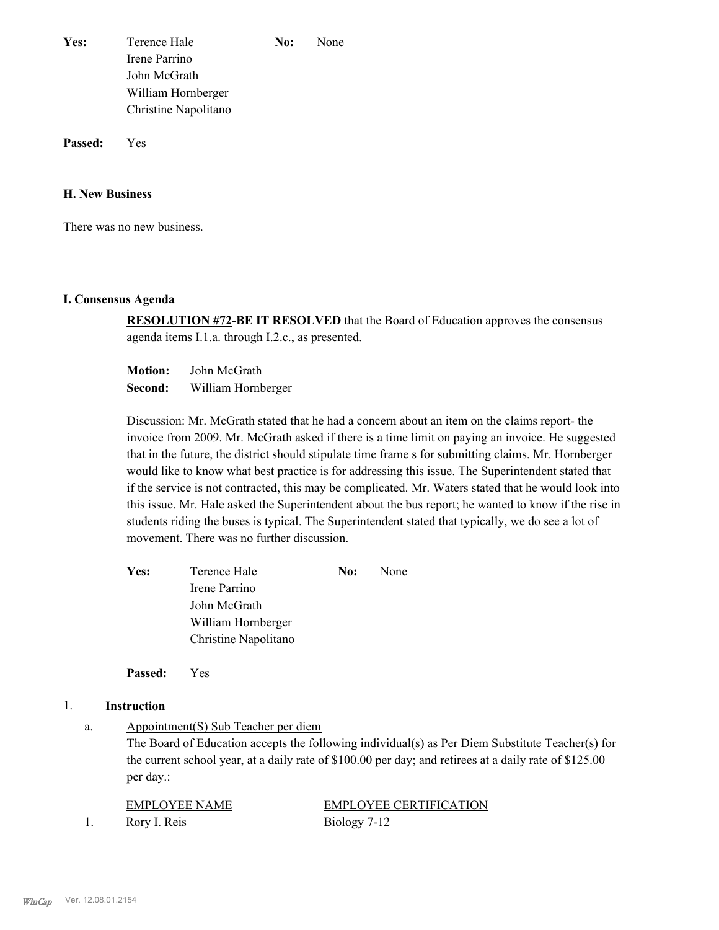| Yes: | Terence Hale         | No: | None |
|------|----------------------|-----|------|
|      | Irene Parrino        |     |      |
|      | John McGrath         |     |      |
|      | William Hornberger   |     |      |
|      | Christine Napolitano |     |      |

**Passed:** Yes

### **H. New Business**

There was no new business.

#### **I. Consensus Agenda**

**RESOLUTION #72-BE IT RESOLVED** that the Board of Education approves the consensus agenda items I.1.a. through I.2.c., as presented.

**Motion:** John McGrath **Second:** William Hornberger

Discussion: Mr. McGrath stated that he had a concern about an item on the claims report- the invoice from 2009. Mr. McGrath asked if there is a time limit on paying an invoice. He suggested that in the future, the district should stipulate time frame s for submitting claims. Mr. Hornberger would like to know what best practice is for addressing this issue. The Superintendent stated that if the service is not contracted, this may be complicated. Mr. Waters stated that he would look into this issue. Mr. Hale asked the Superintendent about the bus report; he wanted to know if the rise in students riding the buses is typical. The Superintendent stated that typically, we do see a lot of movement. There was no further discussion.

| Terence Hale         | No: | None |
|----------------------|-----|------|
| Irene Parrino        |     |      |
| John McGrath         |     |      |
| William Hornberger   |     |      |
| Christine Napolitano |     |      |
|                      |     |      |

**Passed:** Yes

### 1. **Instruction**

Appointment(S) Sub Teacher per diem a.

> The Board of Education accepts the following individual(s) as Per Diem Substitute Teacher(s) for the current school year, at a daily rate of \$100.00 per day; and retirees at a daily rate of \$125.00 per day.:

| EMPLOYEE NAME | <b>EMPLOYEE CERTIFICATION</b> |
|---------------|-------------------------------|
| Rory I. Reis  | Biology 7-12                  |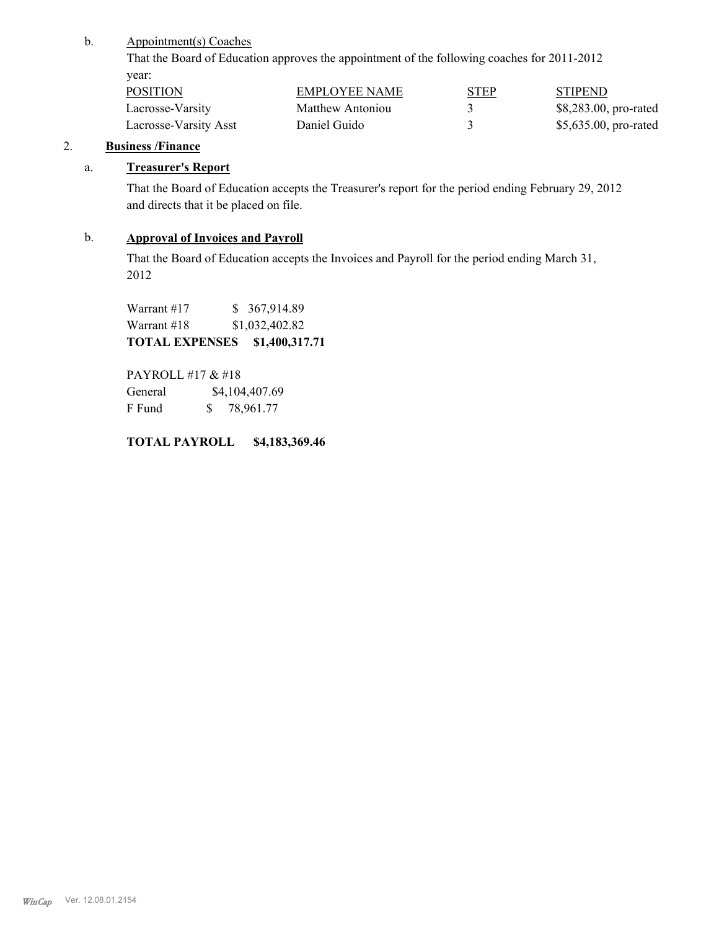Appointment(s) Coaches b.

> That the Board of Education approves the appointment of the following coaches for 2011-2012 year:

| <b>POSITION</b>       | <b>EMPLOYEE NAME</b> | <b>STEP</b> | <b>STIPEND</b>        |
|-----------------------|----------------------|-------------|-----------------------|
| Lacrosse-Varsity      | Matthew Antoniou     |             | \$8,283.00, pro-rated |
| Lacrosse-Varsity Asst | Daniel Guido         |             | \$5,635.00, pro-rated |

## 2. **Business /Finance**

### a. **Treasurer's Report**

That the Board of Education accepts the Treasurer's report for the period ending February 29, 2012 and directs that it be placed on file.

## b. **Approval of Invoices and Payroll**

That the Board of Education accepts the Invoices and Payroll for the period ending March 31, 2012

Warrant #17 \$ 367,914.89 Warrant #18 \$1,032,402.82 **TOTAL EXPENSES \$1,400,317.71** 

PAYROLL #17 & #18 General  $$4,104,407.69$ F Fund \$ 78,961.77

**TOTAL PAYROLL \$4,183,369.46**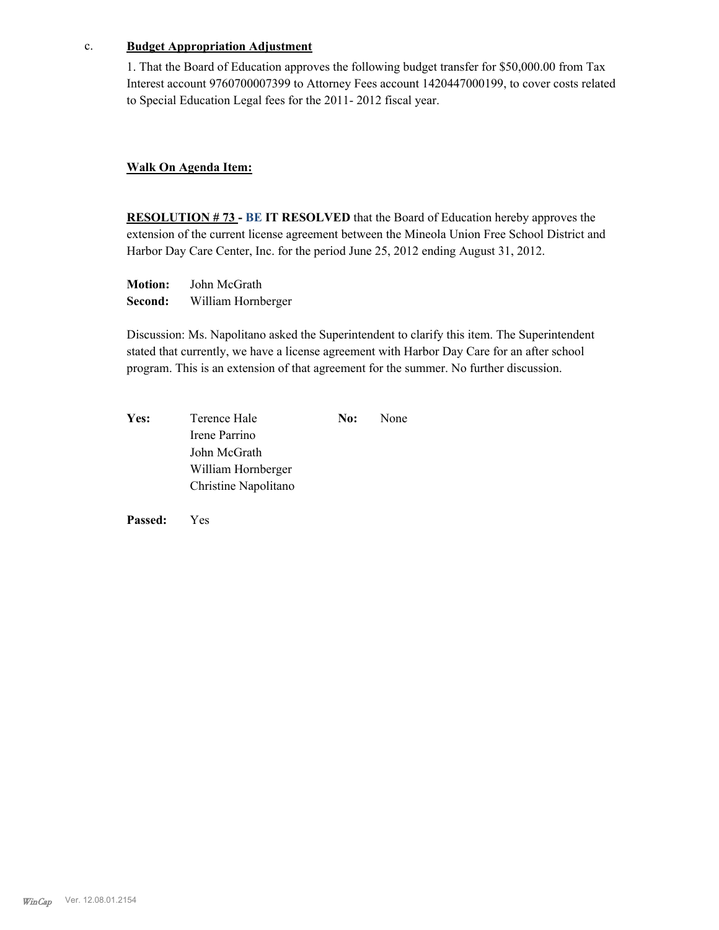#### c. **Budget Appropriation Adjustment**

1. That the Board of Education approves the following budget transfer for \$50,000.00 from Tax Interest account 9760700007399 to Attorney Fees account 1420447000199, to cover costs related to Special Education Legal fees for the 2011- 2012 fiscal year.

### **Walk On Agenda Item:**

**RESOLUTION # 73 - BE IT RESOLVED** that the Board of Education hereby approves the extension of the current license agreement between the Mineola Union Free School District and Harbor Day Care Center, Inc. for the period June 25, 2012 ending August 31, 2012.

**Motion:** John McGrath **Second:** William Hornberger

Discussion: Ms. Napolitano asked the Superintendent to clarify this item. The Superintendent stated that currently, we have a license agreement with Harbor Day Care for an after school program. This is an extension of that agreement for the summer. No further discussion.

| Yes: | Terence Hale         | No: | None |
|------|----------------------|-----|------|
|      | Irene Parrino        |     |      |
|      | John McGrath         |     |      |
|      | William Hornberger   |     |      |
|      | Christine Napolitano |     |      |

**Passed:** Yes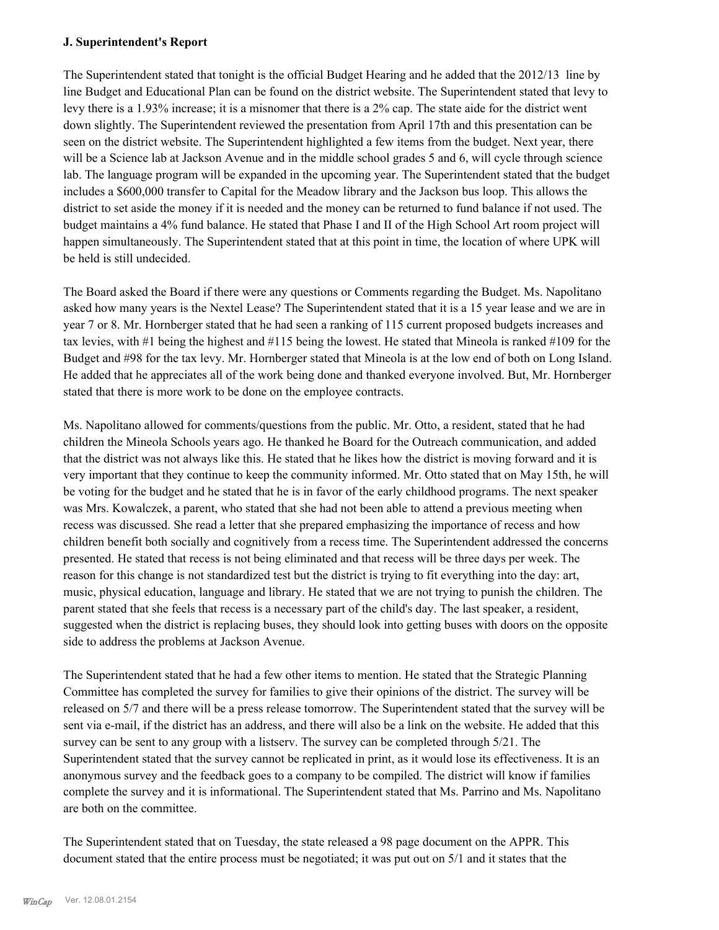### **J. Superintendent's Report**

The Superintendent stated that tonight is the official Budget Hearing and he added that the 2012/13 line by line Budget and Educational Plan can be found on the district website. The Superintendent stated that levy to levy there is a 1.93% increase; it is a misnomer that there is a 2% cap. The state aide for the district went down slightly. The Superintendent reviewed the presentation from April 17th and this presentation can be seen on the district website. The Superintendent highlighted a few items from the budget. Next year, there will be a Science lab at Jackson Avenue and in the middle school grades 5 and 6, will cycle through science lab. The language program will be expanded in the upcoming year. The Superintendent stated that the budget includes a \$600,000 transfer to Capital for the Meadow library and the Jackson bus loop. This allows the district to set aside the money if it is needed and the money can be returned to fund balance if not used. The budget maintains a 4% fund balance. He stated that Phase I and II of the High School Art room project will happen simultaneously. The Superintendent stated that at this point in time, the location of where UPK will be held is still undecided.

The Board asked the Board if there were any questions or Comments regarding the Budget. Ms. Napolitano asked how many years is the Nextel Lease? The Superintendent stated that it is a 15 year lease and we are in year 7 or 8. Mr. Hornberger stated that he had seen a ranking of 115 current proposed budgets increases and tax levies, with #1 being the highest and #115 being the lowest. He stated that Mineola is ranked #109 for the Budget and #98 for the tax levy. Mr. Hornberger stated that Mineola is at the low end of both on Long Island. He added that he appreciates all of the work being done and thanked everyone involved. But, Mr. Hornberger stated that there is more work to be done on the employee contracts.

Ms. Napolitano allowed for comments/questions from the public. Mr. Otto, a resident, stated that he had children the Mineola Schools years ago. He thanked he Board for the Outreach communication, and added that the district was not always like this. He stated that he likes how the district is moving forward and it is very important that they continue to keep the community informed. Mr. Otto stated that on May 15th, he will be voting for the budget and he stated that he is in favor of the early childhood programs. The next speaker was Mrs. Kowalczek, a parent, who stated that she had not been able to attend a previous meeting when recess was discussed. She read a letter that she prepared emphasizing the importance of recess and how children benefit both socially and cognitively from a recess time. The Superintendent addressed the concerns presented. He stated that recess is not being eliminated and that recess will be three days per week. The reason for this change is not standardized test but the district is trying to fit everything into the day: art, music, physical education, language and library. He stated that we are not trying to punish the children. The parent stated that she feels that recess is a necessary part of the child's day. The last speaker, a resident, suggested when the district is replacing buses, they should look into getting buses with doors on the opposite side to address the problems at Jackson Avenue.

The Superintendent stated that he had a few other items to mention. He stated that the Strategic Planning Committee has completed the survey for families to give their opinions of the district. The survey will be released on 5/7 and there will be a press release tomorrow. The Superintendent stated that the survey will be sent via e-mail, if the district has an address, and there will also be a link on the website. He added that this survey can be sent to any group with a listserv. The survey can be completed through 5/21. The Superintendent stated that the survey cannot be replicated in print, as it would lose its effectiveness. It is an anonymous survey and the feedback goes to a company to be compiled. The district will know if families complete the survey and it is informational. The Superintendent stated that Ms. Parrino and Ms. Napolitano are both on the committee.

The Superintendent stated that on Tuesday, the state released a 98 page document on the APPR. This document stated that the entire process must be negotiated; it was put out on 5/1 and it states that the